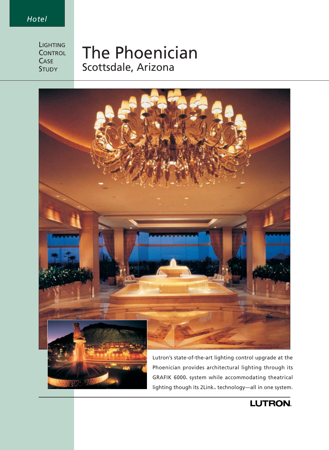## *Hotel*

**LIGHTING CONTROL CASE STUDY** 

# The Phoenician Scottsdale, Arizona



Phoenician provides architectural lighting through its GRAFIK 6000 system while accommodating theatrical lighting though its 2Link<sub>m</sub> technology—all in one system.

## LUTRON.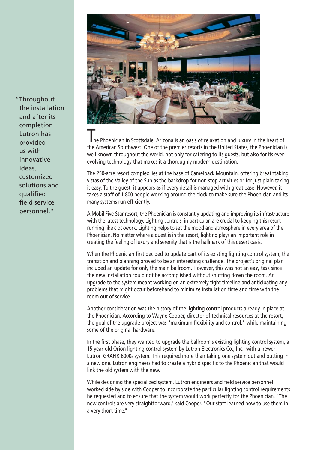

The Phoenician in Scottsdale, Arizona is an oasis of relaxation and luxury in the heart of the American Southwest. One of the premier resorts in the United States, the Phoenician is well known throughout the world, not only for catering to its guests, but also for its everevolving technology that makes it a thoroughly modern destination.

The 250-acre resort complex lies at the base of Camelback Mountain, offering breathtaking vistas of the Valley of the Sun as the backdrop for non-stop activities or for just plain taking it easy. To the guest, it appears as if every detail is managed with great ease. However, it takes a staff of 1,800 people working around the clock to make sure the Phoenician and its many systems run efficiently.

A Mobil Five-Star resort, the Phoenician is constantly updating and improving its infrastructure with the latest technology. Lighting controls, in particular, are crucial to keeping this resort running like clockwork. Lighting helps to set the mood and atmosphere in every area of the Phoenician. No matter where a guest is in the resort, lighting plays an important role in creating the feeling of luxury and serenity that is the hallmark of this desert oasis.

When the Phoenician first decided to update part of its existing lighting control system, the transition and planning proved to be an interesting challenge. The project's original plan included an update for only the main ballroom. However, this was not an easy task since the new installation could not be accomplished without shutting down the room. An upgrade to the system meant working on an extremely tight timeline and anticipating any problems that might occur beforehand to minimize installation time and time with the room out of service.

Another consideration was the history of the lighting control products already in place at the Phoenician. According to Wayne Cooper, director of technical resources at the resort, the goal of the upgrade project was "maximum flexibility and control," while maintaining some of the original hardware.

In the first phase, they wanted to upgrade the ballroom's existing lighting control system, a 15-year-old Orion lighting control system by Lutron Electronics Co., Inc., with a newer Lutron GRAFIK 6000® system. This required more than taking one system out and putting in a new one. Lutron engineers had to create a hybrid specific to the Phoenician that would link the old system with the new.

While designing the specialized system, Lutron engineers and field service personnel worked side by side with Cooper to incorporate the particular lighting control requirements he requested and to ensure that the system would work perfectly for the Phoenician. "The new controls are very straightforward," said Cooper. "Our staff learned how to use them in a very short time."

"Throughout the installation and after its completion Lutron has provided us with innovative ideas, customized solutions and qualified field service personnel."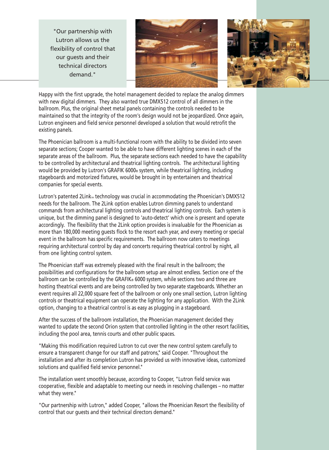"Our partnership with Lutron allows us the flexibility of control that our guests and their technical directors demand."





Happy with the first upgrade, the hotel management decided to replace the analog dimmers with new digital dimmers. They also wanted true DMX512 control of all dimmers in the ballroom. Plus, the original sheet metal panels containing the controls needed to be maintained so that the integrity of the room's design would not be jeopardized. Once again, Lutron engineers and field service personnel developed a solution that would retrofit the existing panels.

The Phoenician ballroom is a multi-functional room with the ability to be divided into seven separate sections; Cooper wanted to be able to have different lighting scenes in each of the separate areas of the ballroom. Plus, the separate sections each needed to have the capability to be controlled by architectural and theatrical lighting controls. The architectural lighting would be provided by Lutron's GRAFIK 6000® system, while theatrical lighting, including stageboards and motorized fixtures, would be brought in by entertainers and theatrical companies for special events.

Lutron's patented 2Link<sub>M</sub> technology was crucial in accommodating the Phoenician's DMX512 needs for the ballroom. The 2Link option enables Lutron dimming panels to understand commands from architectural lighting controls and theatrical lighting controls. Each system is unique, but the dimming panel is designed to 'auto-detect' which one is present and operate accordingly. The flexibility that the 2Link option provides is invaluable for the Phoenician as more than 180,000 meeting guests flock to the resort each year, and every meeting or special event in the ballroom has specific requirements. The ballroom now caters to meetings requiring architectural control by day and concerts requiring theatrical control by night, all from one lighting control system.

The Phoenician staff was extremely pleased with the final result in the ballroom; the possibilities and configurations for the ballroom setup are almost endless. Section one of the ballroom can be controlled by the GRAFIK® 6000 system, while sections two and three are hosting theatrical events and are being controlled by two separate stageboards. Whether an event requires all 22,000 square feet of the ballroom or only one small section, Lutron lighting controls or theatrical equipment can operate the lighting for any application. With the 2Link option, changing to a theatrical control is as easy as plugging in a stageboard.

After the success of the ballroom installation, the Phoenician management decided they wanted to update the second Orion system that controlled lighting in the other resort facilities, including the pool area, tennis courts and other public spaces.

"Making this modification required Lutron to cut over the new control system carefully to ensure a transparent change for our staff and patrons," said Cooper. "Throughout the installation and after its completion Lutron has provided us with innovative ideas, customized solutions and qualified field service personnel."

The installation went smoothly because, according to Cooper, "Lutron field service was cooperative, flexible and adaptable to meeting our needs in resolving challenges – no matter what they were."

"Our partnership with Lutron," added Cooper, "allows the Phoenician Resort the flexibility of control that our guests and their technical directors demand."